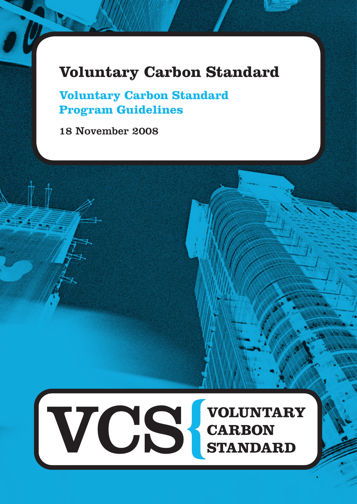# **Voluntary Carbon Standard**

**Voluntary Carbon Standard Program Guidelines**

18 November 2008

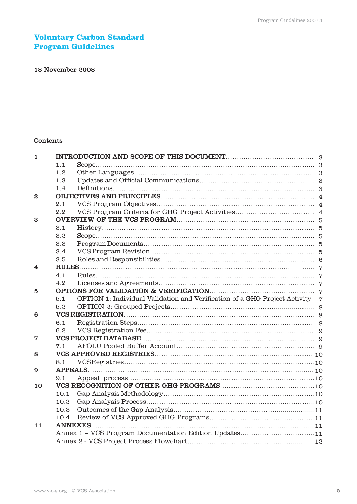# **Voluntary Carbon Standard Program Guidelines**

# 18 November 2008

# Contents

| $\mathbf{1}$     |      |                                                                              |  |
|------------------|------|------------------------------------------------------------------------------|--|
|                  | 1.1  |                                                                              |  |
|                  | 1.2  |                                                                              |  |
|                  | 1.3  |                                                                              |  |
|                  | 1.4  |                                                                              |  |
| $\boldsymbol{2}$ |      |                                                                              |  |
|                  | 2.1  |                                                                              |  |
|                  | 2.2  |                                                                              |  |
| 3                |      |                                                                              |  |
|                  | 3.1  | $History. \dots 5$                                                           |  |
|                  | 3.2  |                                                                              |  |
|                  | 3.3  |                                                                              |  |
|                  | 3.4  |                                                                              |  |
|                  | 3.5  |                                                                              |  |
| 4                |      |                                                                              |  |
|                  | 4.1  |                                                                              |  |
|                  | 4.2  |                                                                              |  |
| 5                |      |                                                                              |  |
|                  | 5.1  | OPTION 1: Individual Validation and Verification of a GHG Project Activity 7 |  |
|                  | 5.2  |                                                                              |  |
| 6                |      |                                                                              |  |
|                  | 6.1  |                                                                              |  |
|                  | 6.2  |                                                                              |  |
| 7                |      |                                                                              |  |
|                  | 7.1  |                                                                              |  |
| 8                |      |                                                                              |  |
|                  | 8.1  |                                                                              |  |
| 9                |      |                                                                              |  |
|                  | 9.1  |                                                                              |  |
| 10               |      |                                                                              |  |
|                  | 10.1 |                                                                              |  |
|                  | 10.2 |                                                                              |  |
|                  | 10.3 |                                                                              |  |
|                  | 10.4 |                                                                              |  |
| 11               |      |                                                                              |  |
|                  |      | Annex 1 - VCS Program Documentation Edition Updates11                        |  |
|                  |      |                                                                              |  |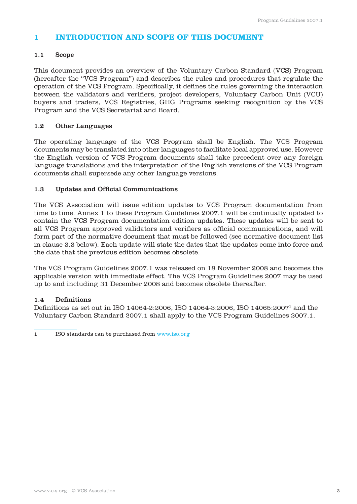# **1 INTRODUCTION AND SCOPE OF THIS DOCUMENT**

# 1.1 Scope

This document provides an overview of the Voluntary Carbon Standard (VCS) Program (hereafter the "VCS Program") and describes the rules and procedures that regulate the operation of the VCS Program. Specifically, it defines the rules governing the interaction between the validators and verifiers, project developers, Voluntary Carbon Unit (VCU) buyers and traders, VCS Registries, GHG Programs seeking recognition by the VCS Program and the VCS Secretariat and Board.

# 1.2 Other Languages

The operating language of the VCS Program shall be English. The VCS Program documents may be translated into other languages to facilitate local approved use. However the English version of VCS Program documents shall take precedent over any foreign language translations and the interpretation of the English versions of the VCS Program documents shall supersede any other language versions.

# 1.3 Updates and Official Communications

The VCS Association will issue edition updates to VCS Program documentation from time to time. Annex 1 to these Program Guidelines 2007.1 will be continually updated to contain the VCS Program documentation edition updates. These updates will be sent to all VCS Program approved validators and verifiers as official communications, and will form part of the normative document that must be followed (see normative document list in clause 3.3 below). Each update will state the dates that the updates come into force and the date that the previous edition becomes obsolete.

The VCS Program Guidelines 2007.1 was released on 18 November 2008 and becomes the applicable version with immediate effect. The VCS Program Guidelines 2007 may be used up to and including 31 December 2008 and becomes obsolete thereafter.

# 1.4 Definitions

Definitions as set out in ISO 14064-2:2006, ISO 14064-3:2006, ISO 14065:20071 and the Voluntary Carbon Standard 2007.1 shall apply to the VCS Program Guidelines 2007.1.

1 ISO standards can be purchased from www.iso.org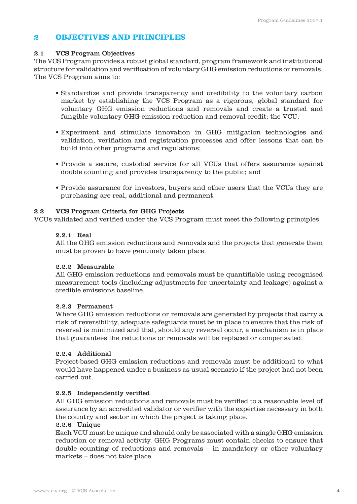# **2 OBJECTIVES AND PRINCIPLES**

## 2.1 VCS Program Objectives

The VCS Program provides a robust global standard, program framework and institutional structure for validation and verification of voluntary GHG emission reductions or removals. The VCS Program aims to:

- Standardize and provide transparency and credibility to the voluntary carbon market by establishing the VCS Program as a rigorous, global standard for voluntary GHG emission reductions and removals and create a trusted and fungible voluntary GHG emission reduction and removal credit; the VCU;
- Experiment and stimulate innovation in GHG mitigation technologies and validation, verifiation and registration processes and offer lessons that can be build into other programs and regulations;
- Provide a secure, custodial service for all VCUs that offers assurance against double counting and provides transparency to the public; and
- Provide assurance for investors, buyers and other users that the VCUs they are purchasing are real, additional and permanent.

# 2.2 VCS Program Criteria for GHG Projects

VCUs validated and verified under the VCS Program must meet the following principles:

### 2.2.1 Real

 All the GHG emission reductions and removals and the projects that generate them must be proven to have genuinely taken place.

# 2.2.2 Measurable

 All GHG emission reductions and removals must be quantifiable using recognised measurement tools (including adjustments for uncertainty and leakage) against a credible emissions baseline.

# 2.2.3 Permanent

 Where GHG emission reductions or removals are generated by projects that carry a risk of reversibility, adequate safeguards must be in place to ensure that the risk of reversal is minimized and that, should any reversal occur, a mechanism is in place that guarantees the reductions or removals will be replaced or compensated.

## 2.2.4 Additional

 Project-based GHG emission reductions and removals must be additional to what would have happened under a business as usual scenario if the project had not been carried out.

# 2.2.5 Independently verified

 All GHG emission reductions and removals must be verified to a reasonable level of assurance by an accredited validator or verifier with the expertise necessary in both the country and sector in which the project is taking place.

#### 2.2.6 Unique

 Each VCU must be unique and should only be associated with a single GHG emission reduction or removal activity. GHG Programs must contain checks to ensure that double counting of reductions and removals – in mandatory or other voluntary markets – does not take place.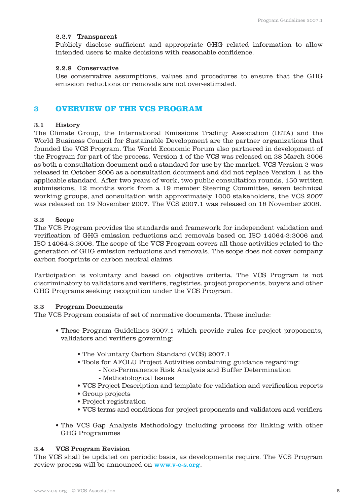#### 2.2.7 Transparent

 Publicly disclose sufficient and appropriate GHG related information to allow intended users to make decisions with reasonable confidence.

#### 2.2.8 Conservative

 Use conservative assumptions, values and procedures to ensure that the GHG emission reductions or removals are not over-estimated.

# **3 OVERVIEW OF THE VCS PROGRAM**

#### 3.1 History

The Climate Group, the International Emissions Trading Association (IETA) and the World Business Council for Sustainable Development are the partner organizations that founded the VCS Program. The World Economic Forum also partnered in development of the Program for part of the process. Version 1 of the VCS was released on 28 March 2006 as both a consultation document and a standard for use by the market. VCS Version 2 was released in October 2006 as a consultation document and did not replace Version 1 as the applicable standard. After two years of work, two public consultation rounds, 150 written submissions, 12 months work from a 19 member Steering Committee, seven technical working groups, and consultation with approximately 1000 stakeholders, the VCS 2007 was released on 19 November 2007. The VCS 2007.1 was released on 18 November 2008.

#### 3.2 Scope

The VCS Program provides the standards and framework for independent validation and verification of GHG emission reductions and removals based on ISO 14064-2:2006 and ISO 14064-3:2006. The scope of the VCS Program covers all those activities related to the generation of GHG emission reductions and removals. The scope does not cover company carbon footprints or carbon neutral claims.

Participation is voluntary and based on objective criteria. The VCS Program is not discriminatory to validators and verifiers, registries, project proponents, buyers and other GHG Programs seeking recognition under the VCS Program.

#### 3.3 Program Documents

The VCS Program consists of set of normative documents. These include:

- These Program Guidelines 2007.1 which provide rules for project proponents, validators and verifiers governing:
	- The Voluntary Carbon Standard (VCS) 2007.1
	- Tools for AFOLU Project Activities containing guidance regarding:
		- Non-Permanence Risk Analysis and Buffer Determination
		- Methodological Issues
	- VCS Project Description and template for validation and verification reports
	- Group projects
	- Project registration
	- VCS terms and conditions for project proponents and validators and verifiers
- The VCS Gap Analysis Methodology including process for linking with other GHG Programmes

#### 3.4 VCS Program Revision

The VCS shall be updated on periodic basis, as developments require. The VCS Program review process will be announced on www.v-c-s.org.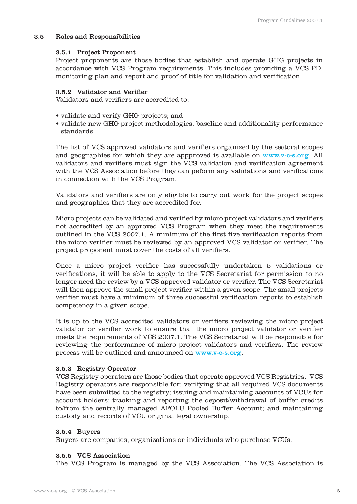#### 3.5 Roles and Responsibilities

#### 3.5.1 Project Proponent

 Project proponents are those bodies that establish and operate GHG projects in accordance with VCS Program requirements. This includes providing a VCS PD, monitoring plan and report and proof of title for validation and verification.

#### 3.5.2 Validator and Verifier

Validators and verifiers are accredited to:

- validate and verify GHG projects; and
- validate new GHG project methodologies, baseline and additionality performance standards

The list of VCS approved validators and verifiers organized by the sectoral scopes and geographies for which they are appproved is available on www.v-c-s.org. All validators and verifiers must sign the VCS validation and verification agreement with the VCS Association before they can peform any validations and verifications in connection with the VCS Program.

 Validators and verifiers are only eligible to carry out work for the project scopes and geographies that they are accredited for.

 Micro projects can be validated and verified by micro project validators and verifiers not accredited by an approved VCS Program when they meet the requirements outlined in the VCS 2007.1. A minimum of the first five verification reports from the micro verifier must be reviewed by an approved VCS validator or verifier. The project proponent must cover the costs of all verifiers.

 Once a micro project verifier has successfully undertaken 5 validations or verifications, it will be able to apply to the VCS Secretariat for permission to no longer need the review by a VCS approved validator or verifier. The VCS Secretariat will then approve the small project verifier within a given scope. The small projects verifier must have a minimum of three successful verification reports to establish competency in a given scope.

 It is up to the VCS accredited validators or verifiers reviewing the micro project validator or verifier work to ensure that the micro project validator or verifier meets the requirements of VCS 2007.1. The VCS Secretariat will be responsible for reviewing the performance of micro project validators and verifiers. The review process will be outlined and announced on www.v-c-s.org.

#### 3.5.3 Registry Operator

 VCS Registry operators are those bodies that operate approved VCS Registries. VCS Registry operators are responsible for: verifying that all required VCS documents have been submitted to the registry; issuing and maintaining accounts of VCUs for account holders; tracking and reporting the deposit/withdrawal of buffer credits to/from the centrally managed AFOLU Pooled Buffer Account; and maintaining custody and records of VCU original legal ownership.

#### 3.5.4 Buyers

 Buyers are companies, organizations or individuals who purchase VCUs.

#### 3.5.5 VCS Association

The VCS Program is managed by the VCS Association. The VCS Association is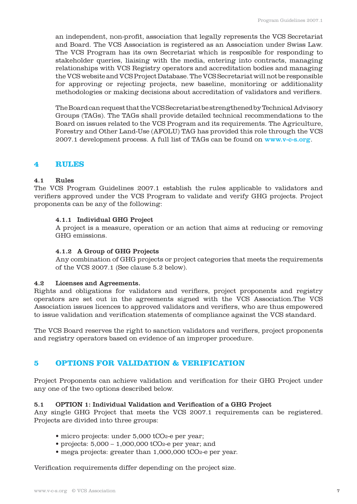an independent, non-profit, association that legally represents the VCS Secretariat and Board. The VCS Association is registered as an Association under Swiss Law. The VCS Program has its own Secretariat which is resposible for responding to stakeholder queries, liaising with the media, entering into contracts, managing relationships with VCS Registry operators and accreditation bodies and managing the VCS website and VCS Project Database. The VCS Secretariat will not be responsible for approving or rejecting projects, new baseline, monitoring or additionality methodologies or making decisions about accreditation of validators and verifiers.

 The Board can request that the VCS Secretariat be strengthened by Technical Advisory Groups (TAGs). The TAGs shall provide detailed technical recommendations to the Board on issues related to the VCS Program and its requirements. The Agriculture, Forestry and Other Land-Use (AFOLU) TAG has provided this role through the VCS 2007.1 development process. A full list of TAGs can be found on www.v-c-s.org.

# **4 RULES**

# 4.1 Rules

The VCS Program Guidelines 2007.1 establish the rules applicable to validators and verifiers approved under the VCS Program to validate and verify GHG projects. Project proponents can be any of the following:

### 4.1.1 Individual GHG Project

 A project is a measure, operation or an action that aims at reducing or removing GHG emissions.

#### 4.1.2 A Group of GHG Projects

 Any combination of GHG projects or project categories that meets the requirements of the VCS 2007.1 (See clause 5.2 below).

#### 4.2 Licenses and Agreements.

Rights and obligations for validators and verifiers, project proponents and registry operators are set out in the agreements signed with the VCS Association.The VCS Association issues licences to approved validators and verifiers, who are thus empowered to issue validation and verification statements of compliance against the VCS standard.

The VCS Board reserves the right to sanction validators and verifiers, project proponents and registry operators based on evidence of an improper procedure.

# **5 OPTIONS FOR VALIDATION & VERIFICATION**

Project Proponents can achieve validation and verification for their GHG Project under any one of the two options described below.

#### 5.1 OPTION 1: Individual Validation and Verification of a GHG Project

Any single GHG Project that meets the VCS 2007.1 requirements can be registered. Projects are divided into three groups:

- micro projects: under 5,000 tCO<sub>2</sub>-e per year;
- projects:  $5,000 1,000,000$  tCO<sub>2</sub>-e per year; and
- mega projects: greater than 1,000,000 tCO2-e per year.

Verification requirements differ depending on the project size.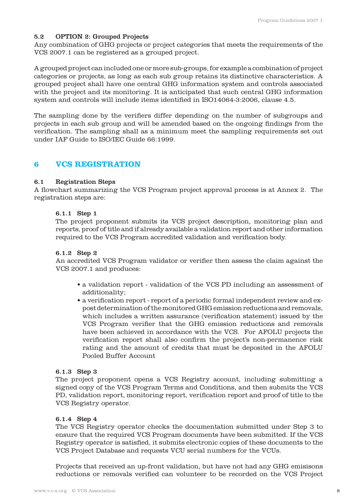## 5.2 OPTION 2: Grouped Projects

Any combination of GHG projects or project categories that meets the requirements of the VCS 2007.1 can be registered as a grouped project.

A grouped project can included one or more sub-groups, for example a combination of project categories or projects, as long as each sub group retains its distinctive characteristics. A grouped project shall have one central GHG information system and controls associated with the project and its monitoring. It is anticipated that such central GHG information system and controls will include items identified in ISO14064-3:2006, clause 4.5.

The sampling done by the verifiers differ depending on the number of subgroups and projects in each sub group and will be amended based on the ongoing findings from the verification. The sampling shall as a minimum meet the sampling requirements set out under IAF Guide to ISO/IEC Guide 66:1999.

# **6 VCS REGISTRATION**

#### 6.1 Registration Steps

A flowchart summarizing the VCS Program project approval process is at Annex 2. The registration steps are:

#### 6.1.1 Step 1

 The project proponent submits its VCS project description, monitoring plan and reports, proof of title and if already available a validation report and other information required to the VCS Program accredited validation and verification body.

#### 6.1.2 Step 2

 An accredited VCS Program validator or verifier then assess the claim against the VCS 2007.1 and produces:

- a validation report validation of the VCS PD including an assessment of additionality;
- a verification report report of a periodic formal independent review and expost determination of the monitored GHG emission reductions and removals, which includes a written assurance (verification statement) issued by the VCS Program verifier that the GHG emission reductions and removals have been achieved in accordance with the VCS. For AFOLU projects the verification report shall also confirm the project's non-permanence risk rating and the amount of credits that must be deposited in the AFOLU Pooled Buffer Account

#### 6.1.3 Step 3

 The project proponent opens a VCS Registry account, including submitting a signed copy of the VCS Program Terms and Conditions, and then submits the VCS PD, validation report, monitoring report, verification report and proof of title to the VCS Registry operator.

#### 6.1.4 Step 4

 The VCS Registry operator checks the documentation submitted under Step 3 to ensure that the required VCS Program documents have been submitted. If the VCS Registry operator is satisfied, it submits electronic copies of these documents to the VCS Project Database and requests VCU serial numbers for the VCUs.

 Projects that received an up-front validation, but have not had any GHG emisisons reductions or removals verified can volunteer to be recorded on the VCS Project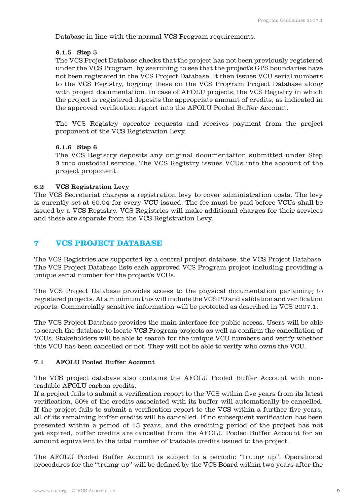Database in line with the normal VCS Program requirements.

#### 6.1.5 Step 5

 The VCS Project Database checks that the project has not been previously registered under the VCS Program, by searching to see that the project's GPS boundaries have not been registered in the VCS Project Database. It then issues VCU serial numbers to the VCS Registry, logging these on the VCS Program Project Database along with project documentation. In case of AFOLU projects, the VCS Registry in which the project is registered deposits the appropriate amount of credits, as indicated in the approved verification report into the AFOLU Pooled Buffer Account.

 The VCS Registry operator requests and receives payment from the project proponent of the VCS Registration Levy.

### 6.1.6 Step 6

 The VCS Registry deposits any original documentation submitted under Step 3 into custodial service. The VCS Registry issues VCUs into the account of the project proponent.

### 6.2 VCS Registration Levy

The VCS Secretariat charges a registration levy to cover administration costs. The levy is curently set at  $\epsilon$ 0.04 for every VCU issued. The fee must be paid before VCUs shall be issued by a VCS Registry. VCS Registries will make additional charges for their services and these are separate from the VCS Registration Levy.

# **7 VCS PROJECT DATABASE**

The VCS Registries are supported by a central project database, the VCS Project Database. The VCS Project Database lists each approved VCS Program project including providing a unique serial number for the project's VCUs.

The VCS Project Database provides access to the physical documentation pertaining to registered projects. At a minimum this will include the VCS PD and validation and verification reports. Commercially sensitive information will be protected as described in VCS 2007.1.

The VCS Project Database provides the main interface for public access. Users will be able to search the database to locate VCS Program projects as well as confirm the cancellation of VCUs. Stakeholders will be able to search for the unique VCU numbers and verify whether this VCU has been cancelled or not. They will not be able to verify who owns the VCU.

# 7.1 AFOLU Pooled Buffer Account

The VCS project database also contains the AFOLU Pooled Buffer Account with nontradable AFOLU carbon credits.

If a project fails to submit a verification report to the VCS within five years from its latest verification, 50% of the credits associated with its buffer will automatically be cancelled. If the project fails to submit a verification report to the VCS within a further five years, all of its remaining buffer credits will be cancelled. If no subsequent verification has been presented within a period of 15 years, and the crediting period of the project has not yet expired, buffer credits are cancelled from the AFOLU Pooled Buffer Account for an amount equivalent to the total number of tradable credits issued to the project.

The AFOLU Pooled Buffer Account is subject to a periodic "truing up". Operational procedures for the "truing up" will be defined by the VCS Board within two years after the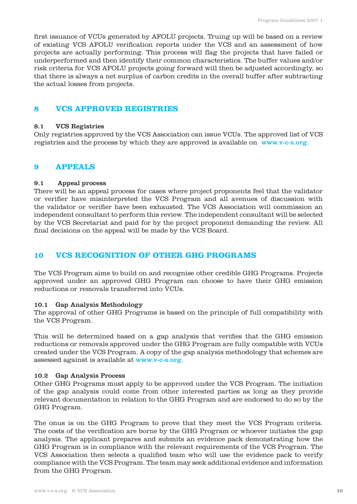first issuance of VCUs generated by AFOLU projects. Truing up will be based on a review of existing VCS AFOLU verification reports under the VCS and an assessment of how projects are actually performing. This process will flag the projects that have failed or underperformed and then identify their common characteristics. The buffer values and/or risk criteria for VCS AFOLU projects going forward will then be adjusted accordingly, so that there is always a net surplus of carbon credits in the overall buffer after subtracting the actual losses from projects.

# **8 VCS APPROVED REGISTRIES**

# 8.1 VCS Registries

Only registries approved by the VCS Association can issue VCUs. The approved list of VCS registries and the process by which they are approved is available on www.v-c-s.org.

# **9 APPEALS**

### 9.1 Appeal process

There will be an appeal process for cases where project proponents feel that the validator or verifier have misinterpreted the VCS Program and all avenues of discussion with the validator or verifier have been exhausted. The VCS Association will commission an independent consultant to perform this review. The independent consultant will be selected by the VCS Secretariat and paid for by the project proponent demanding the review. All final decisions on the appeal will be made by the VCS Board.

# **10 VCS RECOGNITION OF OTHER GHG PROGRAMS**

The VCS Program aims to build on and recognise other credible GHG Programs. Projects approved under an approved GHG Program can choose to have their GHG emission reductions or removals transferred into VCUs.

# 10.1 Gap Analysis Methodology

The approval of other GHG Programs is based on the principle of full compatibility with the VCS Program.

This will be determined based on a gap analysis that verifies that the GHG emission reductions or removals approved under the GHG Program are fully compatible with VCUs created under the VCS Program. A copy of the gap analysis methodology that schemes are assessed against is available at www.v-c-s.org.

# 10.2 Gap Analysis Process

Other GHG Programs must apply to be approved under the VCS Program. The initiation of the gap analysis could come from other interested parties as long as they provide relevant documentation in relation to the GHG Program and are endorsed to do so by the GHG Program.

The onus is on the GHG Program to prove that they meet the VCS Program criteria. The costs of the verification are borne by the GHG Program or whoever initiates the gap analysis. The applicant prepares and submits an evidence pack demonstrating how the GHG Program is in compliance with the relevant requirements of the VCS Program. The VCS Association then selects a qualified team who will use the evidence pack to verify compliance with the VCS Program. The team may seek additional evidence and information from the GHG Program.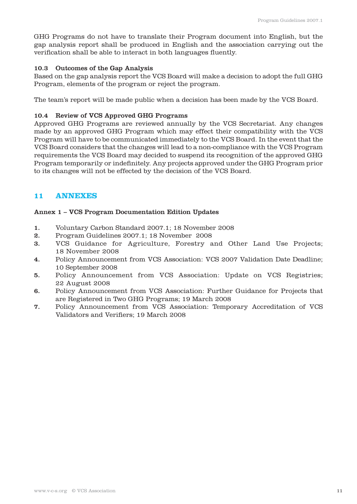GHG Programs do not have to translate their Program document into English, but the gap analysis report shall be produced in English and the association carrying out the verification shall be able to interact in both languages fluently.

## 10.3 Outcomes of the Gap Analysis

Based on the gap analysis report the VCS Board will make a decision to adopt the full GHG Program, elements of the program or reject the program.

The team's report will be made public when a decision has been made by the VCS Board.

## 10.4 Review of VCS Approved GHG Programs

Approved GHG Programs are reviewed annually by the VCS Secretariat. Any changes made by an approved GHG Program which may effect their compatibility with the VCS Program will have to be communicated immediately to the VCS Board. In the event that the VCS Board considers that the changes will lead to a non-compliance with the VCS Program requirements the VCS Board may decided to suspend its recognition of the approved GHG Program temporarily or indefinitely. Any projects approved under the GHG Program prior to its changes will not be effected by the decision of the VCS Board.

# **11 ANNEXES**

# Annex 1 – VCS Program Documentation Edition Updates

- 1. Voluntary Carbon Standard 2007.1; 18 November 2008
- 2. Program Guidelines 2007.1; 18 November 2008
- 3. VCS Guidance for Agriculture, Forestry and Other Land Use Projects; 18 November 2008
- 4. Policy Announcement from VCS Association: VCS 2007 Validation Date Deadline; 10 September 2008
- 5. Policy Announcement from VCS Association: Update on VCS Registries; 22 August 2008
- 6. Policy Announcement from VCS Association: Further Guidance for Projects that are Registered in Two GHG Programs; 19 March 2008
- 7. Policy Announcement from VCS Association: Temporary Accreditation of VCS Validators and Verifiers; 19 March 2008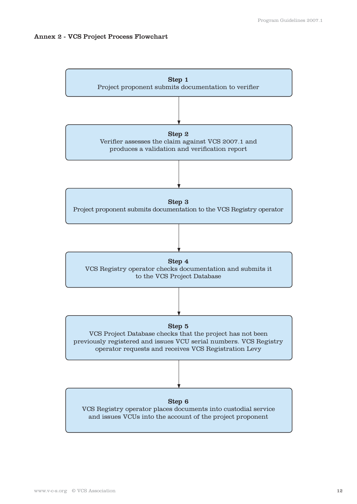